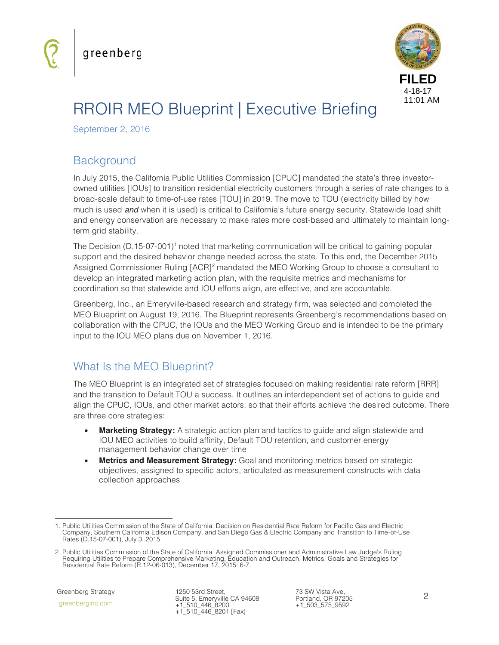

# RROIR MEO Blueprint | Executive Briefing

September 2, 2016

## **Background**

In July 2015, the California Public Utilities Commission [CPUC] mandated the state's three investorowned utilities [IOUs] to transition residential electricity customers through a series of rate changes to a broad-scale default to time-of-use rates [TOU] in 2019. The move to TOU (electricity billed by how much is used *and* when it is used) is critical to California's future energy security. Statewide load shift and energy conservation are necessary to make rates more cost-based and ultimately to maintain longterm grid stability.

The Decision (D.15-07-001)<sup>1</sup> noted that marketing communication will be critical to gaining popular support and the desired behavior change needed across the state. To this end, the December 2015 Assigned Commissioner Ruling [ACR]<sup>2</sup> mandated the MEO Working Group to choose a consultant to develop an integrated marketing action plan, with the requisite metrics and mechanisms for coordination so that statewide and IOU efforts align, are effective, and are accountable.

Greenberg, Inc., an Emeryville-based research and strategy firm, was selected and completed the MEO Blueprint on August 19, 2016. The Blueprint represents Greenberg's recommendations based on collaboration with the CPUC, the IOUs and the MEO Working Group and is intended to be the primary input to the IOU MEO plans due on November 1, 2016.

## What Is the MEO Blueprint?

The MEO Blueprint is an integrated set of strategies focused on making residential rate reform [RRR] and the transition to Default TOU a success. It outlines an interdependent set of actions to guide and align the CPUC, IOUs, and other market actors, so that their efforts achieve the desired outcome. There are three core strategies:

- **Marketing Strategy:** A strategic action plan and tactics to guide and align statewide and IOU MEO activities to build affinity, Default TOU retention, and customer energy management behavior change over time
- **Metrics and Measurement Strategy:** Goal and monitoring metrics based on strategic objectives, assigned to specific actors, articulated as measurement constructs with data collection approaches

greenberginc.com

j 1. Public Utilities Commission of the State of California. Decision on Residential Rate Reform for Pacific Gas and Electric Company, Southern California Edison Company, and San Diego Gas & Electric Company and Transition to Time-of-Use Rates (D.15-07-001), July 3, 2015.

<sup>2</sup> Public Utilities Commission of the State of California. Assigned Commissioner and Administrative Law Judge's Ruling Requiring Utilities to Prepare Comprehensive Marketing, Education and Outreach, Metrics, Goals and Strategies for Residential Rate Reform (R.12-06-013), December 17, 2015: 6-7.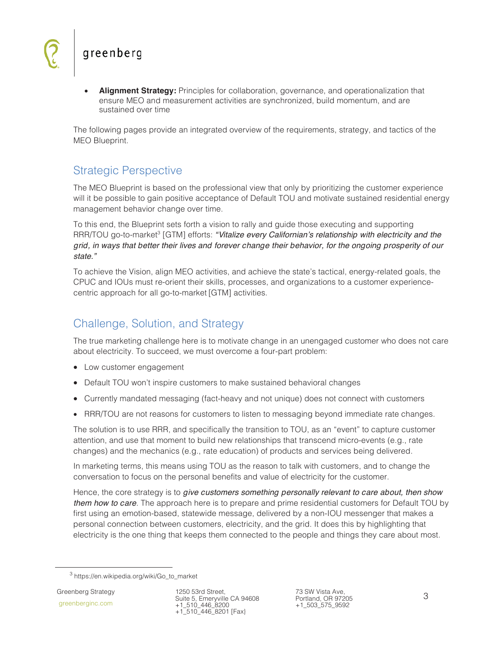**Alignment Strategy:** Principles for collaboration, governance, and operationalization that ensure MEO and measurement activities are synchronized, build momentum, and are sustained over time

The following pages provide an integrated overview of the requirements, strategy, and tactics of the MEO Blueprint.

#### Strategic Perspective

The MEO Blueprint is based on the professional view that only by prioritizing the customer experience will it be possible to gain positive acceptance of Default TOU and motivate sustained residential energy management behavior change over time.

To this end, the Blueprint sets forth a vision to rally and guide those executing and supporting RRR/TOU go-to-market<sup>3</sup> [GTM] efforts: *"Vitalize every Californian's relationship with electricity and the grid, in ways that better their lives and forever change their behavior, for the ongoing prosperity of our state."*

To achieve the Vision, align MEO activities, and achieve the state's tactical, energy-related goals, the CPUC and IOUs must re-orient their skills, processes, and organizations to a customer experiencecentric approach for all go-to-market [GTM] activities.

#### Challenge, Solution, and Strategy

The true marketing challenge here is to motivate change in an unengaged customer who does not care about electricity. To succeed, we must overcome a four-part problem:

- Low customer engagement
- Default TOU won't inspire customers to make sustained behavioral changes
- Currently mandated messaging (fact-heavy and not unique) does not connect with customers
- RRR/TOU are not reasons for customers to listen to messaging beyond immediate rate changes.

The solution is to use RRR, and specifically the transition to TOU, as an "event" to capture customer attention, and use that moment to build new relationships that transcend micro-events (e.g., rate changes) and the mechanics (e.g., rate education) of products and services being delivered.

In marketing terms, this means using TOU as the reason to talk with customers, and to change the conversation to focus on the personal benefits and value of electricity for the customer.

Hence, the core strategy is to *give customers something personally relevant to care about, then show them how to care*. The approach here is to prepare and prime residential customers for Default TOU by first using an emotion-based, statewide message, delivered by a non-IOU messenger that makes a personal connection between customers, electricity, and the grid. It does this by highlighting that electricity is the one thing that keeps them connected to the people and things they care about most.

 <sup>3</sup> https://en.wikipedia.org/wiki/Go\_to\_market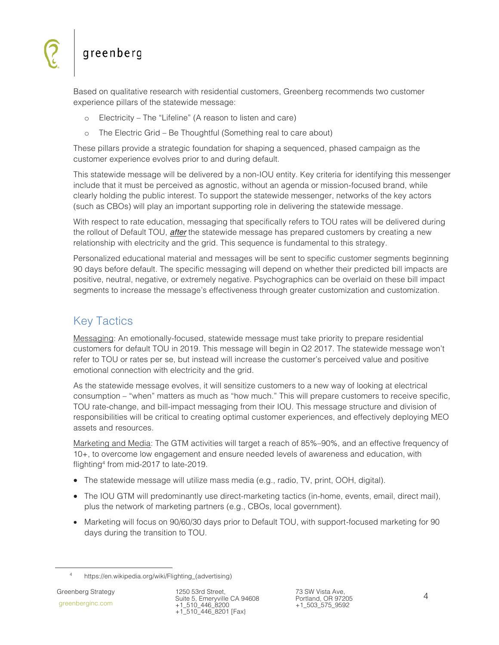Based on qualitative research with residential customers, Greenberg recommends two customer experience pillars of the statewide message:

- Electricity The "Lifeline" (A reason to listen and care)
- o The Electric Grid Be Thoughtful (Something real to care about)

These pillars provide a strategic foundation for shaping a sequenced, phased campaign as the customer experience evolves prior to and during default.

This statewide message will be delivered by a non-IOU entity. Key criteria for identifying this messenger include that it must be perceived as agnostic, without an agenda or mission-focused brand, while clearly holding the public interest. To support the statewide messenger, networks of the key actors (such as CBOs) will play an important supporting role in delivering the statewide message.

With respect to rate education, messaging that specifically refers to TOU rates will be delivered during the rollout of Default TOU, *after* the statewide message has prepared customers by creating a new relationship with electricity and the grid. This sequence is fundamental to this strategy.

Personalized educational material and messages will be sent to specific customer segments beginning 90 days before default. The specific messaging will depend on whether their predicted bill impacts are positive, neutral, negative, or extremely negative. Psychographics can be overlaid on these bill impact segments to increase the message's effectiveness through greater customization and customization.

## Key Tactics

Messaging: An emotionally-focused, statewide message must take priority to prepare residential customers for default TOU in 2019. This message will begin in Q2 2017. The statewide message won't refer to TOU or rates per se, but instead will increase the customer's perceived value and positive emotional connection with electricity and the grid.

As the statewide message evolves, it will sensitize customers to a new way of looking at electrical consumption – "when" matters as much as "how much." This will prepare customers to receive specific, TOU rate-change, and bill-impact messaging from their IOU. This message structure and division of responsibilities will be critical to creating optimal customer experiences, and effectively deploying MEO assets and resources.

Marketing and Media: The GTM activities will target a reach of 85%–90%, and an effective frequency of 10+, to overcome low engagement and ensure needed levels of awareness and education, with flighting4 from mid-2017 to late-2019.

- The statewide message will utilize mass media (e.g., radio, TV, print, OOH, digital).
- The IOU GTM will predominantly use direct-marketing tactics (in-home, events, email, direct mail), plus the network of marketing partners (e.g., CBOs, local government).
- Marketing will focus on 90/60/30 days prior to Default TOU, with support-focused marketing for 90 days during the transition to TOU.

 $\overline{4}$ https://en.wikipedia.org/wiki/Flighting\_(advertising)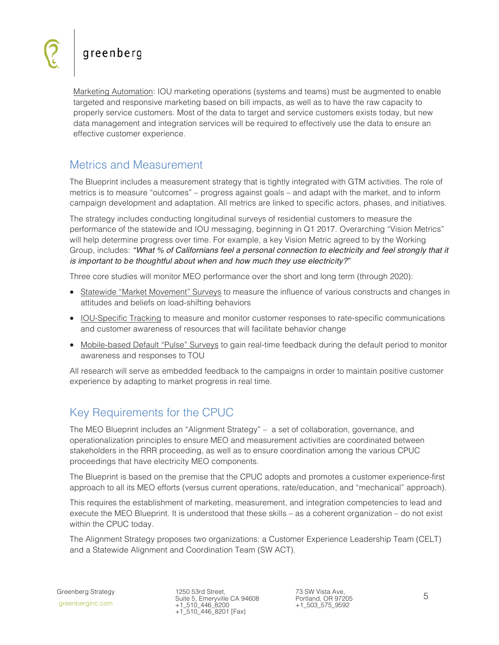Marketing Automation: IOU marketing operations (systems and teams) must be augmented to enable targeted and responsive marketing based on bill impacts, as well as to have the raw capacity to properly service customers. Most of the data to target and service customers exists today, but new data management and integration services will be required to effectively use the data to ensure an effective customer experience.

#### Metrics and Measurement

The Blueprint includes a measurement strategy that is tightly integrated with GTM activities. The role of metrics is to measure "outcomes" – progress against goals – and adapt with the market, and to inform campaign development and adaptation. All metrics are linked to specific actors, phases, and initiatives.

The strategy includes conducting longitudinal surveys of residential customers to measure the performance of the statewide and IOU messaging, beginning in Q1 2017. Overarching "Vision Metrics" will help determine progress over time. For example, a key Vision Metric agreed to by the Working Group, includes: *"What % of Californians feel a personal connection to electricity and feel strongly that it is important to be thoughtful about when and how much they use electricity?"*

Three core studies will monitor MEO performance over the short and long term (through 2020):

- Statewide "Market Movement" Surveys to measure the influence of various constructs and changes in attitudes and beliefs on load-shifting behaviors
- IOU-Specific Tracking to measure and monitor customer responses to rate-specific communications and customer awareness of resources that will facilitate behavior change
- Mobile-based Default "Pulse" Surveys to gain real-time feedback during the default period to monitor awareness and responses to TOU

All research will serve as embedded feedback to the campaigns in order to maintain positive customer experience by adapting to market progress in real time.

## Key Requirements for the CPUC

The MEO Blueprint includes an "Alignment Strategy" – a set of collaboration, governance, and operationalization principles to ensure MEO and measurement activities are coordinated between stakeholders in the RRR proceeding, as well as to ensure coordination among the various CPUC proceedings that have electricity MEO components.

The Blueprint is based on the premise that the CPUC adopts and promotes a customer experience-first approach to all its MEO efforts (versus current operations, rate/education, and "mechanical" approach).

This requires the establishment of marketing, measurement, and integration competencies to lead and execute the MEO Blueprint. It is understood that these skills – as a coherent organization – do not exist within the CPUC today.

The Alignment Strategy proposes two organizations: a Customer Experience Leadership Team (CELT) and a Statewide Alignment and Coordination Team (SW ACT).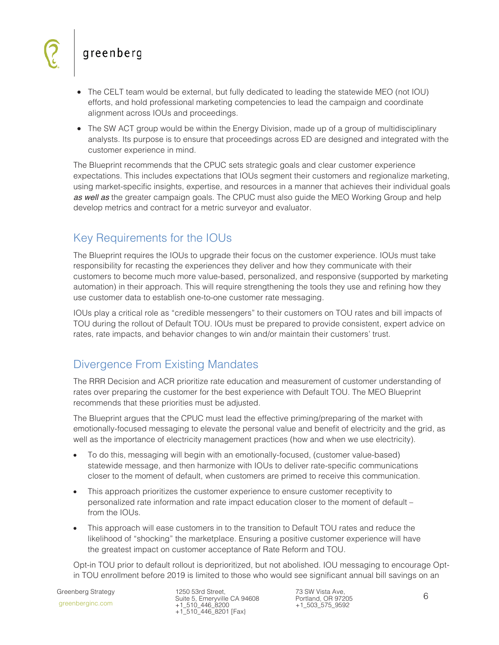- The CELT team would be external, but fully dedicated to leading the statewide MEO (not IOU) efforts, and hold professional marketing competencies to lead the campaign and coordinate alignment across IOUs and proceedings.
- The SW ACT group would be within the Energy Division, made up of a group of multidisciplinary analysts. Its purpose is to ensure that proceedings across ED are designed and integrated with the customer experience in mind.

The Blueprint recommends that the CPUC sets strategic goals and clear customer experience expectations. This includes expectations that IOUs segment their customers and regionalize marketing, using market-specific insights, expertise, and resources in a manner that achieves their individual goals *as well as* the greater campaign goals. The CPUC must also guide the MEO Working Group and help develop metrics and contract for a metric surveyor and evaluator.

## Key Requirements for the IOUs

The Blueprint requires the IOUs to upgrade their focus on the customer experience. IOUs must take responsibility for recasting the experiences they deliver and how they communicate with their customers to become much more value-based, personalized, and responsive (supported by marketing automation) in their approach. This will require strengthening the tools they use and refining how they use customer data to establish one-to-one customer rate messaging.

IOUs play a critical role as "credible messengers" to their customers on TOU rates and bill impacts of TOU during the rollout of Default TOU. IOUs must be prepared to provide consistent, expert advice on rates, rate impacts, and behavior changes to win and/or maintain their customers' trust.

#### Divergence From Existing Mandates

The RRR Decision and ACR prioritize rate education and measurement of customer understanding of rates over preparing the customer for the best experience with Default TOU. The MEO Blueprint recommends that these priorities must be adjusted.

The Blueprint argues that the CPUC must lead the effective priming/preparing of the market with emotionally-focused messaging to elevate the personal value and benefit of electricity and the grid, as well as the importance of electricity management practices (how and when we use electricity).

- To do this, messaging will begin with an emotionally-focused, (customer value-based) statewide message, and then harmonize with IOUs to deliver rate-specific communications closer to the moment of default, when customers are primed to receive this communication.
- This approach prioritizes the customer experience to ensure customer receptivity to personalized rate information and rate impact education closer to the moment of default – from the **IOUs**.
- This approach will ease customers in to the transition to Default TOU rates and reduce the likelihood of "shocking" the marketplace. Ensuring a positive customer experience will have the greatest impact on customer acceptance of Rate Reform and TOU.

Opt-in TOU prior to default rollout is deprioritized, but not abolished. IOU messaging to encourage Optin TOU enrollment before 2019 is limited to those who would see significant annual bill savings on an

 Greenberg Strategy greenberginc.com

1250 53rd Street, Suite 5, Emeryville CA 94608 +1\_510\_446\_8200 +1\_510\_446\_8201 [Fax}

73 SW Vista Ave, Portland, OR 97205 +1\_503\_575\_9592